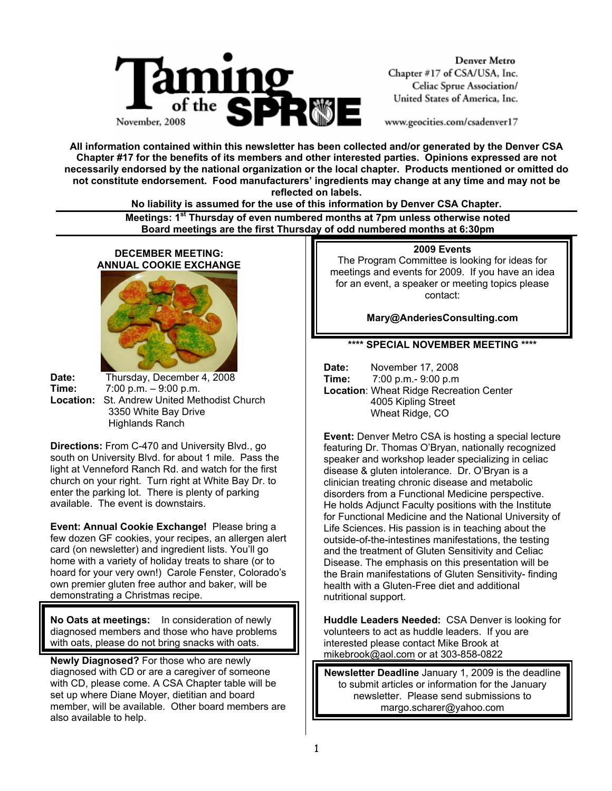

**Denver Metro** Chapter #17 of CSA/USA, Inc. Celiac Sprue Association/ United States of America, Inc.

www.geocities.com/csadenver17

**All information contained within this newsletter has been collected and/or generated by the Denver CSA Chapter #17 for the benefits of its members and other interested parties. Opinions expressed are not necessarily endorsed by the national organization or the local chapter. Products mentioned or omitted do not constitute endorsement. Food manufacturers' ingredients may change at any time and may not be reflected on labels.** 

**No liability is assumed for the use of this information by Denver CSA Chapter.** 

 **Meetings: 1st Thursday of even numbered months at 7pm unless otherwise noted Board meetings are the first Thursday of odd numbered months at 6:30pm**

# **DECEMBER MEETING: ANNUAL COOKIE EXCHANGE**

**Date:** Thursday, December 4, 2008 **Time:** 7:00 p.m. – 9:00 p.m. **Location:** St. Andrew United Methodist Church 3350 White Bay Drive Highlands Ranch

**Directions:** From C-470 and University Blvd., go south on University Blvd. for about 1 mile. Pass the light at Venneford Ranch Rd. and watch for the first church on your right. Turn right at White Bay Dr. to enter the parking lot. There is plenty of parking available. The event is downstairs.

**Event: Annual Cookie Exchange!** Please bring a few dozen GF cookies, your recipes, an allergen alert card (on newsletter) and ingredient lists. You'll go home with a variety of holiday treats to share (or to hoard for your very own!) Carole Fenster, Colorado's own premier gluten free author and baker, will be demonstrating a Christmas recipe.

**No Oats at meetings:** In consideration of newly diagnosed members and those who have problems with oats, please do not bring snacks with oats.

**Newly Diagnosed?** For those who are newly diagnosed with CD or are a caregiver of someone with CD, please come. A CSA Chapter table will be set up where Diane Moyer, dietitian and board member, will be available. Other board members are also available to help.

#### **2009 Events**

The Program Committee is looking for ideas for meetings and events for 2009. If you have an idea for an event, a speaker or meeting topics please contact:

**Mary@AnderiesConsulting.com**

# **\*\*\*\* SPECIAL NOVEMBER MEETING \*\*\*\***

**Date:** November 17, 2008 **Time:** 7:00 p.m.- 9:00 p.m **Location**: Wheat Ridge Recreation Center 4005 Kipling Street Wheat Ridge, CO

**Event:** Denver Metro CSA is hosting a special lecture featuring Dr. Thomas O'Bryan, nationally recognized speaker and workshop leader specializing in celiac disease & gluten intolerance. Dr. O'Bryan is a clinician treating chronic disease and metabolic disorders from a Functional Medicine perspective. He holds Adjunct Faculty positions with the Institute for Functional Medicine and the National University of Life Sciences. His passion is in teaching about the outside-of-the-intestines manifestations, the testing and the treatment of Gluten Sensitivity and Celiac Disease. The emphasis on this presentation will be the Brain manifestations of Gluten Sensitivity- finding health with a Gluten-Free diet and additional nutritional support.

**Huddle Leaders Needed:** CSA Denver is looking for volunteers to act as huddle leaders. If you are interested please contact Mike Brook at mikebrook@aol.com or at 303-858-0822

**Newsletter Deadline** January 1, 2009 is the deadline to submit articles or information for the January newsletter. Please send submissions to margo.scharer@yahoo.com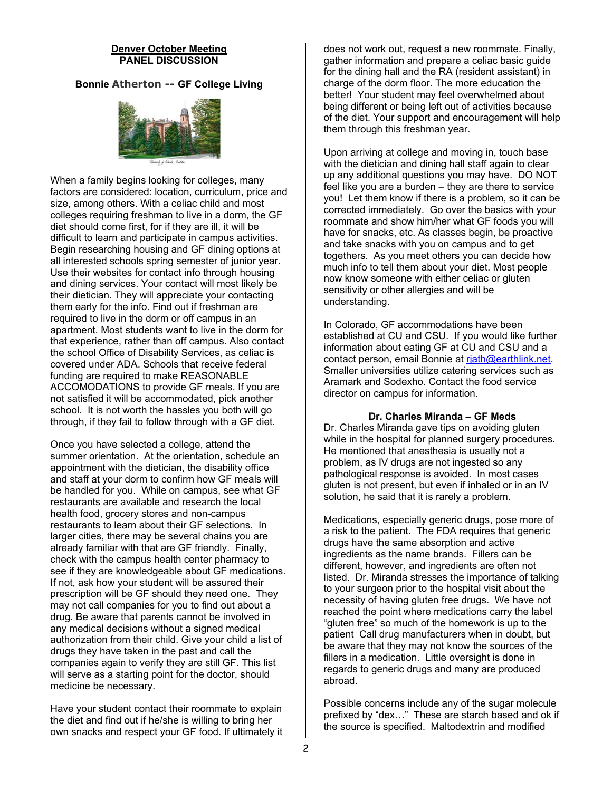#### **Denver October Meeting PANEL DISCUSSION**

# **Bonnie Atherton -- GF College Living**



When a family begins looking for colleges, many factors are considered: location, curriculum, price and size, among others. With a celiac child and most colleges requiring freshman to live in a dorm, the GF diet should come first, for if they are ill, it will be difficult to learn and participate in campus activities. Begin researching housing and GF dining options at all interested schools spring semester of junior year. Use their websites for contact info through housing and dining services. Your contact will most likely be their dietician. They will appreciate your contacting them early for the info. Find out if freshman are required to live in the dorm or off campus in an apartment. Most students want to live in the dorm for that experience, rather than off campus. Also contact the school Office of Disability Services, as celiac is covered under ADA. Schools that receive federal funding are required to make REASONABLE ACCOMODATIONS to provide GF meals. If you are not satisfied it will be accommodated, pick another school. It is not worth the hassles you both will go through, if they fail to follow through with a GF diet.

Once you have selected a college, attend the summer orientation. At the orientation, schedule an appointment with the dietician, the disability office and staff at your dorm to confirm how GF meals will be handled for you. While on campus, see what GF restaurants are available and research the local health food, grocery stores and non-campus restaurants to learn about their GF selections. In larger cities, there may be several chains you are already familiar with that are GF friendly. Finally, check with the campus health center pharmacy to see if they are knowledgeable about GF medications. If not, ask how your student will be assured their prescription will be GF should they need one. They may not call companies for you to find out about a drug. Be aware that parents cannot be involved in any medical decisions without a signed medical authorization from their child. Give your child a list of drugs they have taken in the past and call the companies again to verify they are still GF. This list will serve as a starting point for the doctor, should medicine be necessary.

Have your student contact their roommate to explain the diet and find out if he/she is willing to bring her own snacks and respect your GF food. If ultimately it

does not work out, request a new roommate. Finally, gather information and prepare a celiac basic guide for the dining hall and the RA (resident assistant) in charge of the dorm floor. The more education the better! Your student may feel overwhelmed about being different or being left out of activities because of the diet. Your support and encouragement will help them through this freshman year.

Upon arriving at college and moving in, touch base with the dietician and dining hall staff again to clear up any additional questions you may have. DO NOT feel like you are a burden – they are there to service you! Let them know if there is a problem, so it can be corrected immediately. Go over the basics with your roommate and show him/her what GF foods you will have for snacks, etc. As classes begin, be proactive and take snacks with you on campus and to get togethers. As you meet others you can decide how much info to tell them about your diet. Most people now know someone with either celiac or gluten sensitivity or other allergies and will be understanding.

In Colorado, GF accommodations have been established at CU and CSU. If you would like further information about eating GF at CU and CSU and a contact person, email Bonnie at riath@earthlink.net. Smaller universities utilize catering services such as Aramark and Sodexho. Contact the food service director on campus for information.

#### **Dr. Charles Miranda – GF Meds**

Dr. Charles Miranda gave tips on avoiding gluten while in the hospital for planned surgery procedures. He mentioned that anesthesia is usually not a problem, as IV drugs are not ingested so any pathological response is avoided. In most cases gluten is not present, but even if inhaled or in an IV solution, he said that it is rarely a problem.

Medications, especially generic drugs, pose more of a risk to the patient. The FDA requires that generic drugs have the same absorption and active ingredients as the name brands. Fillers can be different, however, and ingredients are often not listed. Dr. Miranda stresses the importance of talking to your surgeon prior to the hospital visit about the necessity of having gluten free drugs. We have not reached the point where medications carry the label "gluten free" so much of the homework is up to the patient Call drug manufacturers when in doubt, but be aware that they may not know the sources of the fillers in a medication. Little oversight is done in regards to generic drugs and many are produced abroad.

Possible concerns include any of the sugar molecule prefixed by "dex…" These are starch based and ok if the source is specified. Maltodextrin and modified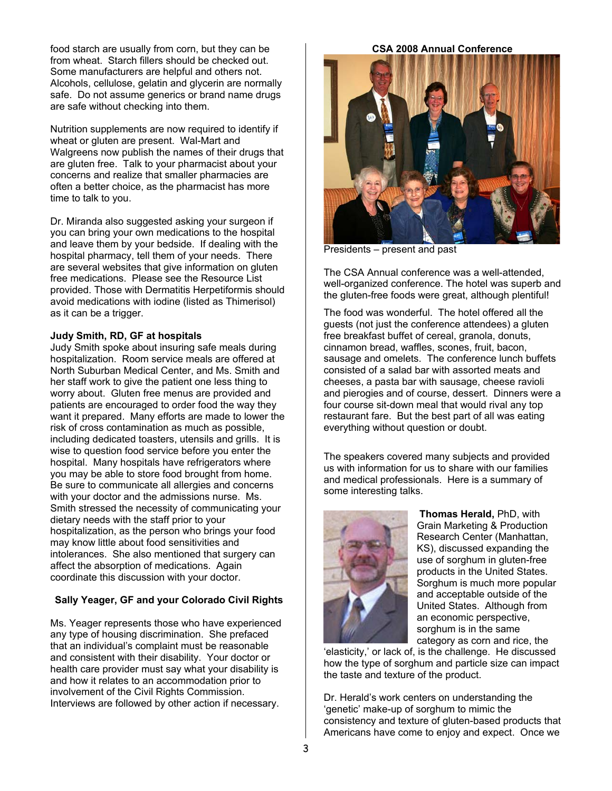food starch are usually from corn, but they can be from wheat. Starch fillers should be checked out. Some manufacturers are helpful and others not. Alcohols, cellulose, gelatin and glycerin are normally safe. Do not assume generics or brand name drugs are safe without checking into them.

Nutrition supplements are now required to identify if wheat or gluten are present. Wal-Mart and Walgreens now publish the names of their drugs that are gluten free. Talk to your pharmacist about your concerns and realize that smaller pharmacies are often a better choice, as the pharmacist has more time to talk to you.

Dr. Miranda also suggested asking your surgeon if you can bring your own medications to the hospital and leave them by your bedside. If dealing with the hospital pharmacy, tell them of your needs. There are several websites that give information on gluten free medications. Please see the Resource List provided. Those with Dermatitis Herpetiformis should avoid medications with iodine (listed as Thimerisol) as it can be a trigger.

### **Judy Smith, RD, GF at hospitals**

Judy Smith spoke about insuring safe meals during hospitalization. Room service meals are offered at North Suburban Medical Center, and Ms. Smith and her staff work to give the patient one less thing to worry about. Gluten free menus are provided and patients are encouraged to order food the way they want it prepared. Many efforts are made to lower the risk of cross contamination as much as possible, including dedicated toasters, utensils and grills. It is wise to question food service before you enter the hospital. Many hospitals have refrigerators where you may be able to store food brought from home. Be sure to communicate all allergies and concerns with your doctor and the admissions nurse. Ms. Smith stressed the necessity of communicating your dietary needs with the staff prior to your hospitalization, as the person who brings your food may know little about food sensitivities and intolerances. She also mentioned that surgery can affect the absorption of medications. Again coordinate this discussion with your doctor.

# **Sally Yeager, GF and your Colorado Civil Rights**

Ms. Yeager represents those who have experienced any type of housing discrimination. She prefaced that an individual's complaint must be reasonable and consistent with their disability. Your doctor or health care provider must say what your disability is and how it relates to an accommodation prior to involvement of the Civil Rights Commission. Interviews are followed by other action if necessary.

**CSA 2008 Annual Conference** 



Presidents – present and past

The CSA Annual conference was a well-attended, well-organized conference. The hotel was superb and the gluten-free foods were great, although plentiful!

The food was wonderful. The hotel offered all the guests (not just the conference attendees) a gluten free breakfast buffet of cereal, granola, donuts, cinnamon bread, waffles, scones, fruit, bacon, sausage and omelets. The conference lunch buffets consisted of a salad bar with assorted meats and cheeses, a pasta bar with sausage, cheese ravioli and pierogies and of course, dessert. Dinners were a four course sit-down meal that would rival any top restaurant fare. But the best part of all was eating everything without question or doubt.

The speakers covered many subjects and provided us with information for us to share with our families and medical professionals. Here is a summary of some interesting talks.



 **Thomas Herald,** PhD, with Grain Marketing & Production Research Center (Manhattan, KS), discussed expanding the use of sorghum in gluten-free products in the United States. Sorghum is much more popular and acceptable outside of the United States. Although from an economic perspective, sorghum is in the same category as corn and rice, the

'elasticity,' or lack of, is the challenge. He discussed how the type of sorghum and particle size can impact the taste and texture of the product.

Dr. Herald's work centers on understanding the 'genetic' make-up of sorghum to mimic the consistency and texture of gluten-based products that Americans have come to enjoy and expect. Once we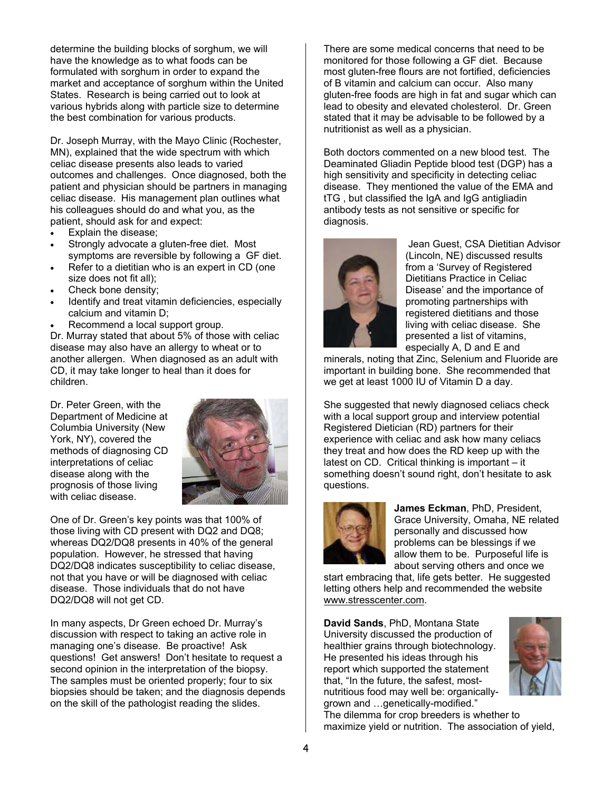determine the building blocks of sorghum, we will have the knowledge as to what foods can be formulated with sorghum in order to expand the market and acceptance of sorghum within the United States. Research is being carried out to look at various hybrids along with particle size to determine the best combination for various products.

Dr. Joseph Murray, with the Mayo Clinic (Rochester, MN), explained that the wide spectrum with which celiac disease presents also leads to varied outcomes and challenges. Once diagnosed, both the patient and physician should be partners in managing celiac disease. His management plan outlines what his colleagues should do and what you, as the patient, should ask for and expect:

- Explain the disease:
- Strongly advocate a gluten-free diet. Most symptoms are reversible by following a GF diet.
- Refer to a dietitian who is an expert in CD (one size does not fit all);
- Check bone density:
- Identify and treat vitamin deficiencies, especially calcium and vitamin D;
- Recommend a local support group.

Dr. Murray stated that about 5% of those with celiac disease may also have an allergy to wheat or to another allergen. When diagnosed as an adult with CD, it may take longer to heal than it does for children.

Dr. Peter Green, with the Department of Medicine at Columbia University (New York, NY), covered the methods of diagnosing CD interpretations of celiac disease along with the prognosis of those living with celiac disease.



One of Dr. Green's key points was that 100% of those living with CD present with DQ2 and DQ8; whereas DQ2/DQ8 presents in 40% of the general population. However, he stressed that having DQ2/DQ8 indicates susceptibility to celiac disease, not that you have or will be diagnosed with celiac disease. Those individuals that do not have DQ2/DQ8 will not get CD.

In many aspects, Dr Green echoed Dr. Murray's discussion with respect to taking an active role in managing one's disease. Be proactive! Ask questions! Get answers! Don't hesitate to request a second opinion in the interpretation of the biopsy. The samples must be oriented properly; four to six biopsies should be taken; and the diagnosis depends on the skill of the pathologist reading the slides.

There are some medical concerns that need to be monitored for those following a GF diet. Because most gluten-free flours are not fortified, deficiencies of B vitamin and calcium can occur. Also many gluten-free foods are high in fat and sugar which can lead to obesity and elevated cholesterol. Dr. Green stated that it may be advisable to be followed by a nutritionist as well as a physician.

Both doctors commented on a new blood test. The Deaminated Gliadin Peptide blood test (DGP) has a high sensitivity and specificity in detecting celiac disease. They mentioned the value of the EMA and tTG , but classified the IgA and IgG antigliadin antibody tests as not sensitive or specific for diagnosis.



 Jean Guest, CSA Dietitian Advisor (Lincoln, NE) discussed results from a 'Survey of Registered Dietitians Practice in Celiac Disease' and the importance of promoting partnerships with registered dietitians and those living with celiac disease. She presented a list of vitamins, especially A, D and E and

minerals, noting that Zinc, Selenium and Fluoride are important in building bone. She recommended that we get at least 1000 IU of Vitamin D a day.

She suggested that newly diagnosed celiacs check with a local support group and interview potential Registered Dietician (RD) partners for their experience with celiac and ask how many celiacs they treat and how does the RD keep up with the latest on CD. Critical thinking is important – it something doesn't sound right, don't hesitate to ask questions.



**James Eckman**, PhD, President, Grace University, Omaha, NE related personally and discussed how problems can be blessings if we allow them to be. Purposeful life is about serving others and once we

start embracing that, life gets better. He suggested letting others help and recommended the website www.stresscenter.com.

**David Sands**, PhD, Montana State University discussed the production of healthier grains through biotechnology. He presented his ideas through his report which supported the statement that, "In the future, the safest, mostnutritious food may well be: organicallygrown and …genetically-modified."



The dilemma for crop breeders is whether to maximize yield or nutrition. The association of yield,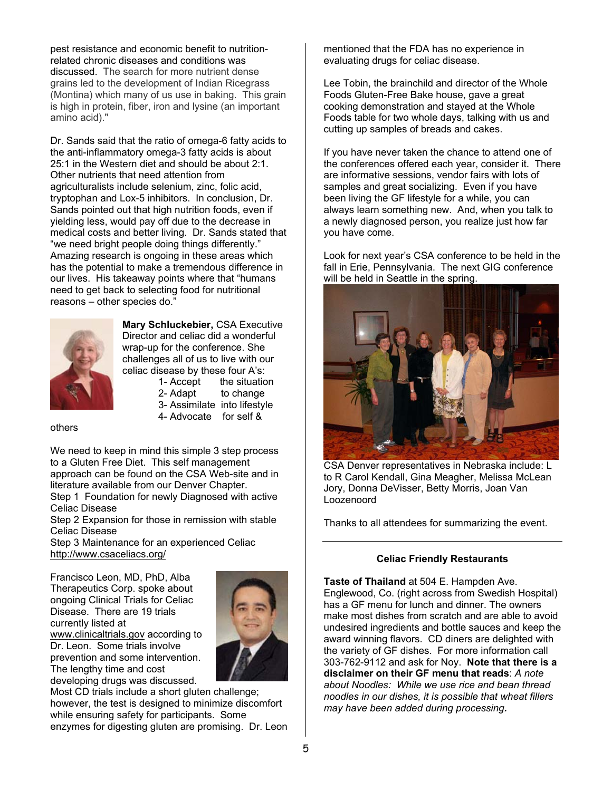pest resistance and economic benefit to nutritionrelated chronic diseases and conditions was discussed. The search for more nutrient dense grains led to the development of Indian Ricegrass (Montina) which many of us use in baking. This grain is high in protein, fiber, iron and lysine (an important amino acid)."

Dr. Sands said that the ratio of omega-6 fatty acids to the anti-inflammatory omega-3 fatty acids is about 25:1 in the Western diet and should be about 2:1. Other nutrients that need attention from agriculturalists include selenium, zinc, folic acid, tryptophan and Lox-5 inhibitors. In conclusion, Dr. Sands pointed out that high nutrition foods, even if yielding less, would pay off due to the decrease in medical costs and better living. Dr. Sands stated that "we need bright people doing things differently." Amazing research is ongoing in these areas which has the potential to make a tremendous difference in our lives. His takeaway points where that "humans need to get back to selecting food for nutritional reasons – other species do."



**Mary Schluckebier,** CSA Executive Director and celiac did a wonderful wrap-up for the conference. She challenges all of us to live with our celiac disease by these four A's:

- 1- Accept the situation
- 2- Adapt to change
- 3- Assimilate into lifestyle
- 4- Advocate for self &

others

We need to keep in mind this simple 3 step process to a Gluten Free Diet. This self management approach can be found on the CSA Web-site and in literature available from our Denver Chapter.

Step 1 Foundation for newly Diagnosed with active Celiac Disease

Step 2 Expansion for those in remission with stable Celiac Disease

Step 3 Maintenance for an experienced Celiac http://www.csaceliacs.org/

Francisco Leon, MD, PhD, Alba Therapeutics Corp. spoke about ongoing Clinical Trials for Celiac Disease. There are 19 trials currently listed at www.clinicaltrials.gov according to Dr. Leon. Some trials involve prevention and some intervention. The lengthy time and cost developing drugs was discussed.



Most CD trials include a short gluten challenge; however, the test is designed to minimize discomfort while ensuring safety for participants. Some enzymes for digesting gluten are promising. Dr. Leon mentioned that the FDA has no experience in evaluating drugs for celiac disease.

Lee Tobin, the brainchild and director of the Whole Foods Gluten-Free Bake house, gave a great cooking demonstration and stayed at the Whole Foods table for two whole days, talking with us and cutting up samples of breads and cakes.

If you have never taken the chance to attend one of the conferences offered each year, consider it. There are informative sessions, vendor fairs with lots of samples and great socializing. Even if you have been living the GF lifestyle for a while, you can always learn something new. And, when you talk to a newly diagnosed person, you realize just how far you have come.

Look for next year's CSA conference to be held in the fall in Erie, Pennsylvania. The next GIG conference will be held in Seattle in the spring.



 CSA Denver representatives in Nebraska include: L to R Carol Kendall, Gina Meagher, Melissa McLean Jory, Donna DeVisser, Betty Morris, Joan Van Loozenoord

Thanks to all attendees for summarizing the event.

#### **Celiac Friendly Restaurants**

**Taste of Thailand** at 504 E. Hampden Ave. Englewood, Co. (right across from Swedish Hospital) has a GF menu for lunch and dinner. The owners make most dishes from scratch and are able to avoid undesired ingredients and bottle sauces and keep the award winning flavors. CD diners are delighted with the variety of GF dishes. For more information call 303-762-9112 and ask for Noy. **Note that there is a disclaimer on their GF menu that reads**: *A note about Noodles: While we use rice and bean thread noodles in our dishes, it is possible that wheat fillers may have been added during processing.*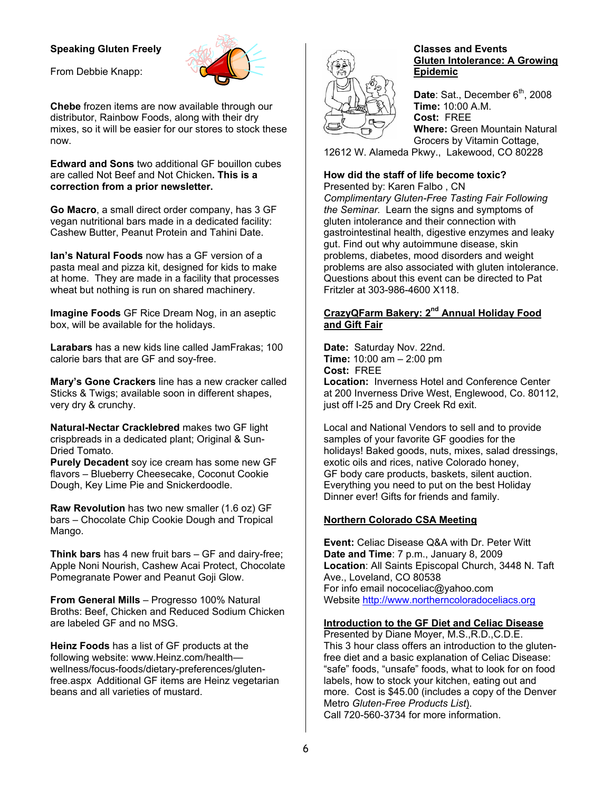# **Speaking Gluten Freely**



From Debbie Knapp:

**Chebe** frozen items are now available through our distributor, Rainbow Foods, along with their dry mixes, so it will be easier for our stores to stock these now.

**Edward and Sons** two additional GF bouillon cubes are called Not Beef and Not Chicken**. This is a correction from a prior newsletter.** 

**Go Macro**, a small direct order company, has 3 GF vegan nutritional bars made in a dedicated facility: Cashew Butter, Peanut Protein and Tahini Date.

**Ian's Natural Foods** now has a GF version of a pasta meal and pizza kit, designed for kids to make at home. They are made in a facility that processes wheat but nothing is run on shared machinery.

**Imagine Foods** GF Rice Dream Nog, in an aseptic box, will be available for the holidays.

**Larabars** has a new kids line called JamFrakas; 100 calorie bars that are GF and soy-free.

**Mary's Gone Crackers** line has a new cracker called Sticks & Twigs; available soon in different shapes, very dry & crunchy.

**Natural-Nectar Cracklebred** makes two GF light crispbreads in a dedicated plant; Original & Sun-Dried Tomato.

**Purely Decadent** soy ice cream has some new GF flavors – Blueberry Cheesecake, Coconut Cookie Dough, Key Lime Pie and Snickerdoodle.

**Raw Revolution** has two new smaller (1.6 oz) GF bars – Chocolate Chip Cookie Dough and Tropical Mango.

**Think bars** has 4 new fruit bars – GF and dairy-free; Apple Noni Nourish, Cashew Acai Protect, Chocolate Pomegranate Power and Peanut Goji Glow.

**From General Mills** – Progresso 100% Natural Broths: Beef, Chicken and Reduced Sodium Chicken are labeled GF and no MSG.

**Heinz Foods** has a list of GF products at the following website: www.Heinz.com/health wellness/focus-foods/dietary-preferences/glutenfree.aspx Additional GF items are Heinz vegetarian beans and all varieties of mustard.



#### **Classes and Events Gluten Intolerance: A Growing Epidemic**

Date: Sat., December 6<sup>th</sup>, 2008 **Time:** 10:00 A.M. **Cost:** FREE **Where:** Green Mountain Natural Grocers by Vitamin Cottage,

12612 W. Alameda Pkwy., Lakewood, CO 80228

# **How did the staff of life become toxic?**

Presented by: Karen Falbo , CN *Complimentary Gluten-Free Tasting Fair Following the Seminar.* Learn the signs and symptoms of gluten intolerance and their connection with gastrointestinal health, digestive enzymes and leaky gut. Find out why autoimmune disease, skin problems, diabetes, mood disorders and weight problems are also associated with gluten intolerance. Questions about this event can be directed to Pat Fritzler at 303-986-4600 X118.

# **CrazyQFarm Bakery: 2nd Annual Holiday Food and Gift Fair**

**Date:** Saturday Nov. 22nd. **Time:** 10:00 am – 2:00 pm **Cost:** FREE

**Location:** Inverness Hotel and Conference Center at 200 Inverness Drive West, Englewood, Co. 80112, just off I-25 and Dry Creek Rd exit.

Local and National Vendors to sell and to provide samples of your favorite GF goodies for the holidays! Baked goods, nuts, mixes, salad dressings, exotic oils and rices, native Colorado honey, GF body care products, baskets, silent auction. Everything you need to put on the best Holiday Dinner ever! Gifts for friends and family.

# **Northern Colorado CSA Meeting**

**Event:** Celiac Disease Q&A with Dr. Peter Witt **Date and Time**: 7 p.m., January 8, 2009 **Location**: All Saints Episcopal Church, 3448 N. Taft Ave., Loveland, CO 80538 For info email nococeliac@yahoo.com Website http://www.northerncoloradoceliacs.org

# **Introduction to the GF Diet and Celiac Disease**

Presented by Diane Moyer, M.S.,R.D.,C.D.E. This 3 hour class offers an introduction to the glutenfree diet and a basic explanation of Celiac Disease: "safe" foods, "unsafe" foods, what to look for on food labels, how to stock your kitchen, eating out and more. Cost is \$45.00 (includes a copy of the Denver Metro *Gluten-Free Products List*). Call 720-560-3734 for more information.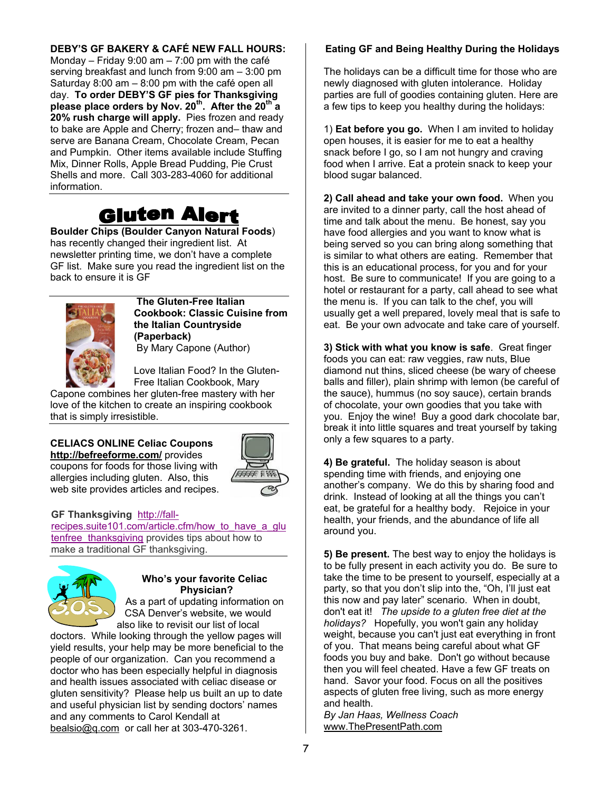# **DEBY'S GF BAKERY & CAFÉ NEW FALL HOURS:**

Monday – Friday 9:00 am – 7:00 pm with the café serving breakfast and lunch from 9:00 am – 3:00 pm Saturday 8:00 am – 8:00 pm with the café open all day. **To order DEBY'S GF pies for Thanksgiving please place orders by Nov. 20th. After the 20th a 20% rush charge will apply.** Pies frozen and ready to bake are Apple and Cherry; frozen and– thaw and serve are Banana Cream, Chocolate Cream, Pecan and Pumpkin. Other items available include Stuffing Mix, Dinner Rolls, Apple Bread Pudding, Pie Crust Shells and more. Call 303-283-4060 for additional information.

# **Gluten Alert**

**Boulder Chips (Boulder Canyon Natural Foods**) has recently changed their ingredient list. At newsletter printing time, we don't have a complete GF list. Make sure you read the ingredient list on the back to ensure it is GF



 **The Gluten-Free Italian Cookbook: Classic Cuisine from the Italian Countryside (Paperback)** 

By Mary Capone (Author)

Love Italian Food? In the Gluten-Free Italian Cookbook, Mary

Capone combines her gluten-free mastery with her love of the kitchen to create an inspiring cookbook that is simply irresistible.

**CELIACS ONLINE Celiac Coupons http://befreeforme.com/** provides coupons for foods for those living with allergies including gluten. Also, this web site provides articles and recipes.



#### **GF Thanksgiving** http://fall-

recipes.suite101.com/article.cfm/how\_to\_have\_a\_glu tenfree thanksgiving provides tips about how to make a traditional GF thanksgiving.



# **Who's your favorite Celiac Physician?**  As a part of updating information on

CSA Denver's website, we would also like to revisit our list of local

doctors. While looking through the yellow pages will yield results, your help may be more beneficial to the people of our organization. Can you recommend a doctor who has been especially helpful in diagnosis and health issues associated with celiac disease or gluten sensitivity? Please help us built an up to date and useful physician list by sending doctors' names and any comments to Carol Kendall at bealsio@q.com or call her at 303-470-3261.

# **Eating GF and Being Healthy During the Holidays**

The holidays can be a difficult time for those who are newly diagnosed with gluten intolerance. Holiday parties are full of goodies containing gluten. Here are a few tips to keep you healthy during the holidays:

1) **Eat before you go.** When I am invited to holiday open houses, it is easier for me to eat a healthy snack before I go, so I am not hungry and craving food when I arrive. Eat a protein snack to keep your blood sugar balanced.

**2) Call ahead and take your own food.** When you are invited to a dinner party, call the host ahead of time and talk about the menu. Be honest, say you have food allergies and you want to know what is being served so you can bring along something that is similar to what others are eating. Remember that this is an educational process, for you and for your host. Be sure to communicate! If you are going to a hotel or restaurant for a party, call ahead to see what the menu is. If you can talk to the chef, you will usually get a well prepared, lovely meal that is safe to eat. Be your own advocate and take care of yourself.

**3) Stick with what you know is safe**. Great finger foods you can eat: raw veggies, raw nuts, Blue diamond nut thins, sliced cheese (be wary of cheese balls and filler), plain shrimp with lemon (be careful of the sauce), hummus (no soy sauce), certain brands of chocolate, your own goodies that you take with you. Enjoy the wine! Buy a good dark chocolate bar, break it into little squares and treat yourself by taking only a few squares to a party.

**4) Be grateful.** The holiday season is about spending time with friends, and enjoying one another's company. We do this by sharing food and drink. Instead of looking at all the things you can't eat, be grateful for a healthy body. Rejoice in your health, your friends, and the abundance of life all around you.

**5) Be present.** The best way to enjoy the holidays is to be fully present in each activity you do. Be sure to take the time to be present to yourself, especially at a party, so that you don't slip into the, "Oh, I'll just eat this now and pay later" scenario. When in doubt, don't eat it! *The upside to a gluten free diet at the holidays?* Hopefully, you won't gain any holiday weight, because you can't just eat everything in front of you. That means being careful about what GF foods you buy and bake. Don't go without because then you will feel cheated. Have a few GF treats on hand. Savor your food. Focus on all the positives aspects of gluten free living, such as more energy and health.

*By Jan Haas, Wellness Coach* www.ThePresentPath.com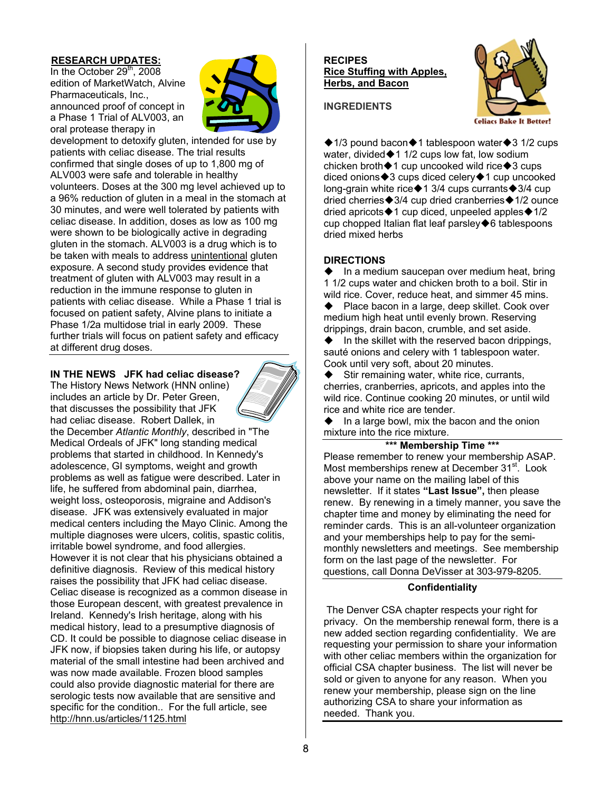# **RESEARCH UPDATES:**

In the October  $29<sup>th</sup>$ , 2008 edition of MarketWatch, Alvine Pharmaceuticals, Inc., announced proof of concept in a Phase 1 Trial of ALV003, an oral protease therapy in



development to detoxify gluten, intended for use by patients with celiac disease. The trial results confirmed that single doses of up to 1,800 mg of ALV003 were safe and tolerable in healthy volunteers. Doses at the 300 mg level achieved up to a 96% reduction of gluten in a meal in the stomach at 30 minutes, and were well tolerated by patients with celiac disease. In addition, doses as low as 100 mg were shown to be biologically active in degrading gluten in the stomach. ALV003 is a drug which is to be taken with meals to address unintentional gluten exposure. A second study provides evidence that treatment of gluten with ALV003 may result in a reduction in the immune response to gluten in patients with celiac disease. While a Phase 1 trial is focused on patient safety, Alvine plans to initiate a Phase 1/2a multidose trial in early 2009. These further trials will focus on patient safety and efficacy at different drug doses.

# **IN THE NEWS JFK had celiac disease?**

The History News Network (HNN online) includes an article by Dr. Peter Green, that discusses the possibility that JFK had celiac disease. Robert Dallek, in

the December *Atlantic Monthly*, described in "The Medical Ordeals of JFK" long standing medical problems that started in childhood. In Kennedy's adolescence, GI symptoms, weight and growth problems as well as fatigue were described. Later in life, he suffered from abdominal pain, diarrhea, weight loss, osteoporosis, migraine and Addison's disease. JFK was extensively evaluated in major medical centers including the Mayo Clinic. Among the multiple diagnoses were ulcers, colitis, spastic colitis, irritable bowel syndrome, and food allergies.

However it is not clear that his physicians obtained a definitive diagnosis. Review of this medical history raises the possibility that JFK had celiac disease. Celiac disease is recognized as a common disease in those European descent, with greatest prevalence in Ireland. Kennedy's Irish heritage, along with his medical history, lead to a presumptive diagnosis of CD. It could be possible to diagnose celiac disease in JFK now, if biopsies taken during his life, or autopsy material of the small intestine had been archived and was now made available. Frozen blood samples could also provide diagnostic material for there are serologic tests now available that are sensitive and specific for the condition.. For the full article, see http://hnn.us/articles/1125.html

#### **RECIPES Rice Stuffing with Apples, Herbs, and Bacon**





 $\triangle$  1/3 pound bacon $\triangle$ 1 tablespoon water $\triangle$ 3 1/2 cups water, divided $+1$  1/2 cups low fat, low sodium chicken broth $\triangle 1$  cup uncooked wild rice $\triangle 3$  cups diced onions $*3$  cups diced celery $*1$  cup uncooked long-grain white rice $*1$  3/4 cups currants $*3/4$  cup dried cherries $\bigcirc$ 3/4 cup dried cranberries $\bigcirc$ 1/2 ounce dried apricots $*1$  cup diced, unpeeled apples $*1/2$ cup chopped Italian flat leaf parsley $\blacklozenge$ 6 tablespoons dried mixed herbs

# **DIRECTIONS**

 $\bullet$  In a medium saucepan over medium heat, bring 1 1/2 cups water and chicken broth to a boil. Stir in wild rice. Cover, reduce heat, and simmer 45 mins.

◆ Place bacon in a large, deep skillet. Cook over medium high heat until evenly brown. Reserving drippings, drain bacon, crumble, and set aside.

 In the skillet with the reserved bacon drippings, sauté onions and celery with 1 tablespoon water. Cook until very soft, about 20 minutes.

 $\blacklozenge$  Stir remaining water, white rice, currants, cherries, cranberries, apricots, and apples into the wild rice. Continue cooking 20 minutes, or until wild rice and white rice are tender.

 In a large bowl, mix the bacon and the onion mixture into the rice mixture.

# **\*\*\* Membership Time \*\*\***

Please remember to renew your membership ASAP. Most memberships renew at December 31<sup>st</sup>. Look above your name on the mailing label of this newsletter. If it states **"Last Issue",** then please renew. By renewing in a timely manner, you save the chapter time and money by eliminating the need for reminder cards. This is an all-volunteer organization and your memberships help to pay for the semimonthly newsletters and meetings. See membership form on the last page of the newsletter. For questions, call Donna DeVisser at 303-979-8205.

# **Confidentiality**

The Denver CSA chapter respects your right for privacy. On the membership renewal form, there is a new added section regarding confidentiality. We are requesting your permission to share your information with other celiac members within the organization for official CSA chapter business. The list will never be sold or given to anyone for any reason. When you renew your membership, please sign on the line authorizing CSA to share your information as needed. Thank you.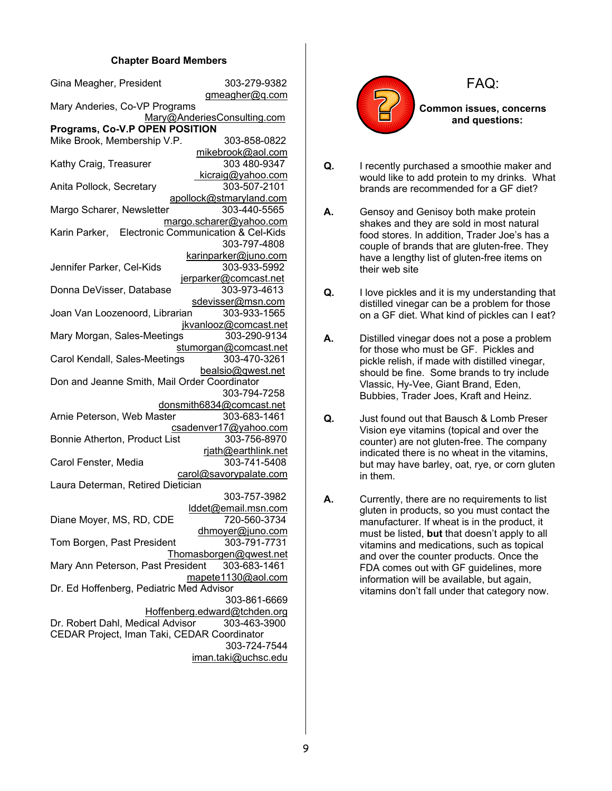# **Chapter Board Members**

| Gina Meagher, President                           | 303-279-9382                 |  |  |  |
|---------------------------------------------------|------------------------------|--|--|--|
|                                                   | gmeagher@g.com               |  |  |  |
| Mary Anderies, Co-VP Programs                     |                              |  |  |  |
|                                                   | Mary@AnderiesConsulting.com  |  |  |  |
| Programs, Co-V.P OPEN POSITION                    |                              |  |  |  |
| Mike Brook, Membership V.P.                       | 303-858-0822                 |  |  |  |
|                                                   | mikebrook@aol.com            |  |  |  |
| Kathy Craig, Treasurer                            | 303 480-9347                 |  |  |  |
|                                                   | kicraig@yahoo.com            |  |  |  |
| Anita Pollock, Secretary                          | 303-507-2101                 |  |  |  |
|                                                   | apollock@stmaryland.com      |  |  |  |
| Margo Scharer, Newsletter                         | 303-440-5565                 |  |  |  |
|                                                   | margo.scharer@yahoo.com      |  |  |  |
| Karin Parker, Electronic Communication & Cel-Kids |                              |  |  |  |
|                                                   | 303-797-4808                 |  |  |  |
|                                                   | karinparker@juno.com         |  |  |  |
| Jennifer Parker, Cel-Kids                         | 303-933-5992                 |  |  |  |
|                                                   | jerparker@comcast.net        |  |  |  |
| Donna DeVisser, Database                          | 303-973-4613                 |  |  |  |
|                                                   | sdevisser@msn.com            |  |  |  |
| Joan Van Loozenoord, Librarian                    | 303-933-1565                 |  |  |  |
|                                                   | jkvanlooz@comcast.net        |  |  |  |
| Mary Morgan, Sales-Meetings                       | 303-290-9134                 |  |  |  |
|                                                   | stumorgan@comcast.net        |  |  |  |
| Carol Kendall, Sales-Meetings                     | 303-470-3261                 |  |  |  |
|                                                   | bealsio@gwest.net            |  |  |  |
| Don and Jeanne Smith, Mail Order Coordinator      |                              |  |  |  |
|                                                   | 303-794-7258                 |  |  |  |
|                                                   | donsmith6834@comcast.net     |  |  |  |
| Arnie Peterson, Web Master                        | 303-683-1461                 |  |  |  |
|                                                   | csadenver17@yahoo.com        |  |  |  |
| Bonnie Atherton, Product List                     | 303-756-8970                 |  |  |  |
|                                                   | rjath@earthlink.net          |  |  |  |
| Carol Fenster, Media                              | 303-741-5408                 |  |  |  |
|                                                   | carol@savorypalate.com       |  |  |  |
| Laura Determan, Retired Dietician                 |                              |  |  |  |
|                                                   | 303-757-3982                 |  |  |  |
|                                                   | lddet@email.msn.com          |  |  |  |
| Diane Moyer, MS, RD, CDE                          | 720-560-3734                 |  |  |  |
|                                                   | dhmoyer@juno.com             |  |  |  |
| Tom Borgen, Past President                        | 303-791-7731                 |  |  |  |
|                                                   | Thomasborgen@qwest.net       |  |  |  |
| Mary Ann Peterson, Past President                 | 303-683-1461                 |  |  |  |
|                                                   | mapete1130@aol.com           |  |  |  |
| Dr. Ed Hoffenberg, Pediatric Med Advisor          |                              |  |  |  |
|                                                   | 303-861-6669                 |  |  |  |
|                                                   | Hoffenberg.edward@tchden.org |  |  |  |
| Dr. Robert Dahl, Medical Advisor                  | 303-463-3900                 |  |  |  |
| CEDAR Project, Iman Taki, CEDAR Coordinator       |                              |  |  |  |
|                                                   | 303-724-7544                 |  |  |  |
|                                                   | iman.taki@uchsc.edu          |  |  |  |
|                                                   |                              |  |  |  |



FAQ:

**Common issues, concerns and questions:** 

- **Q.** I recently purchased a smoothie maker and would like to add protein to my drinks. What brands are recommended for a GF diet?
- **A.** Gensoy and Genisoy both make protein shakes and they are sold in most natural food stores. In addition, Trader Joe's has a couple of brands that are gluten-free. They have a lengthy list of gluten-free items on their web site
- **Q.** I love pickles and it is my understanding that distilled vinegar can be a problem for those on a GF diet. What kind of pickles can I eat?
- **A.** Distilled vinegar does not a pose a problem for those who must be GF. Pickles and pickle relish, if made with distilled vinegar, should be fine. Some brands to try include Vlassic, Hy-Vee, Giant Brand, Eden, Bubbies, Trader Joes, Kraft and Heinz.
- **Q.** Just found out that Bausch & Lomb Preser Vision eye vitamins (topical and over the counter) are not gluten-free. The company indicated there is no wheat in the vitamins, but may have barley, oat, rye, or corn gluten in them.
- **A.** Currently, there are no requirements to list gluten in products, so you must contact the manufacturer. If wheat is in the product, it must be listed, **but** that doesn't apply to all vitamins and medications, such as topical and over the counter products. Once the FDA comes out with GF guidelines, more information will be available, but again, vitamins don't fall under that category now.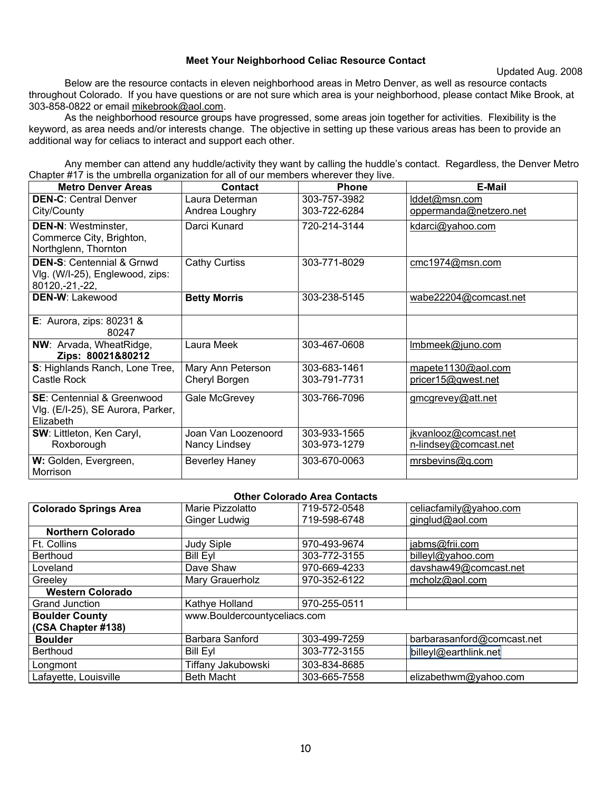# **Meet Your Neighborhood Celiac Resource Contact**

Updated Aug. 2008

Below are the resource contacts in eleven neighborhood areas in Metro Denver, as well as resource contacts throughout Colorado. If you have questions or are not sure which area is your neighborhood, please contact Mike Brook, at 303-858-0822 or email mikebrook@aol.com.

 As the neighborhood resource groups have progressed, some areas join together for activities. Flexibility is the keyword, as area needs and/or interests change. The objective in setting up these various areas has been to provide an additional way for celiacs to interact and support each other.

 Any member can attend any huddle/activity they want by calling the huddle's contact. Regardless, the Denver Metro Chapter #17 is the umbrella organization for all of our members wherever they live.

| <b>Metro Denver Areas</b>                        | <b>Contact</b>        | <b>Phone</b> | <b>E-Mail</b>          |
|--------------------------------------------------|-----------------------|--------------|------------------------|
| <b>DEN-C: Central Denver</b>                     | Laura Determan        | 303-757-3982 | lddet@msn.com          |
| City/County                                      | Andrea Loughry        | 303-722-6284 | oppermanda@netzero.net |
| <b>DEN-N: Westminster,</b>                       | Darci Kunard          | 720-214-3144 | kdarci@yahoo.com       |
| Commerce City, Brighton,<br>Northglenn, Thornton |                       |              |                        |
| <b>DEN-S: Centennial &amp; Grnwd</b>             | <b>Cathy Curtiss</b>  | 303-771-8029 | cmc1974@msn.com        |
| Vlg. (W/I-25), Englewood, zips:                  |                       |              |                        |
| 80120, -21, -22,                                 |                       |              |                        |
| DEN-W: Lakewood                                  | <b>Betty Morris</b>   | 303-238-5145 | wabe22204@comcast.net  |
| E: Aurora, zips: $80231$ &                       |                       |              |                        |
| 80247                                            |                       |              |                        |
| NW: Arvada, WheatRidge,                          | Laura Meek            | 303-467-0608 | Imbmeek@juno.com       |
| Zips: 80021&80212                                |                       |              |                        |
| S: Highlands Ranch, Lone Tree,                   | Mary Ann Peterson     | 303-683-1461 | mapete1130@aol.com     |
| Castle Rock                                      | Cheryl Borgen         | 303-791-7731 | pricer15@gwest.net     |
| <b>SE:</b> Centennial & Greenwood                | Gale McGrevey         | 303-766-7096 | gmcgrevey@att.net      |
| Vlg. (E/I-25), SE Aurora, Parker,                |                       |              |                        |
| <b>Elizabeth</b>                                 |                       |              |                        |
| SW: Littleton, Ken Caryl,                        | Joan Van Loozenoord   | 303-933-1565 | jkvanlooz@comcast.net  |
| Roxborough                                       | Nancy Lindsey         | 303-973-1279 | n-lindsey@comcast.net  |
| W: Golden, Evergreen,                            | <b>Beverley Haney</b> | 303-670-0063 | mrsbevins@q.com        |
| Morrison                                         |                       |              |                        |

| <b>Other Colorado Area Contacts</b> |                              |              |                            |  |
|-------------------------------------|------------------------------|--------------|----------------------------|--|
| <b>Colorado Springs Area</b>        | Marie Pizzolatto             | 719-572-0548 | celiacfamily@yahoo.com     |  |
|                                     | Ginger Ludwig                | 719-598-6748 | ginglud@aol.com            |  |
| <b>Northern Colorado</b>            |                              |              |                            |  |
| Ft. Collins                         | <b>Judy Siple</b>            | 970-493-9674 | jabms@frii.com             |  |
| <b>Berthoud</b>                     | <b>Bill Eyl</b>              | 303-772-3155 | billeyl@yahoo.com          |  |
| Loveland                            | Dave Shaw                    | 970-669-4233 | davshaw49@comcast.net      |  |
| Greeley                             | Mary Grauerholz              | 970-352-6122 | mcholz@aol.com             |  |
| <b>Western Colorado</b>             |                              |              |                            |  |
| <b>Grand Junction</b>               | Kathye Holland               | 970-255-0511 |                            |  |
| <b>Boulder County</b>               | www.Bouldercountyceliacs.com |              |                            |  |
| (CSA Chapter #138)                  |                              |              |                            |  |
| <b>Boulder</b>                      | Barbara Sanford              | 303-499-7259 | barbarasanford@comcast.net |  |
| <b>Berthoud</b>                     | <b>Bill Eyl</b>              | 303-772-3155 | billeyl@earthlink.net      |  |
| Longmont                            | Tiffany Jakubowski           | 303-834-8685 |                            |  |
| Lafayette, Louisville               | <b>Beth Macht</b>            | 303-665-7558 | elizabethwm@yahoo.com      |  |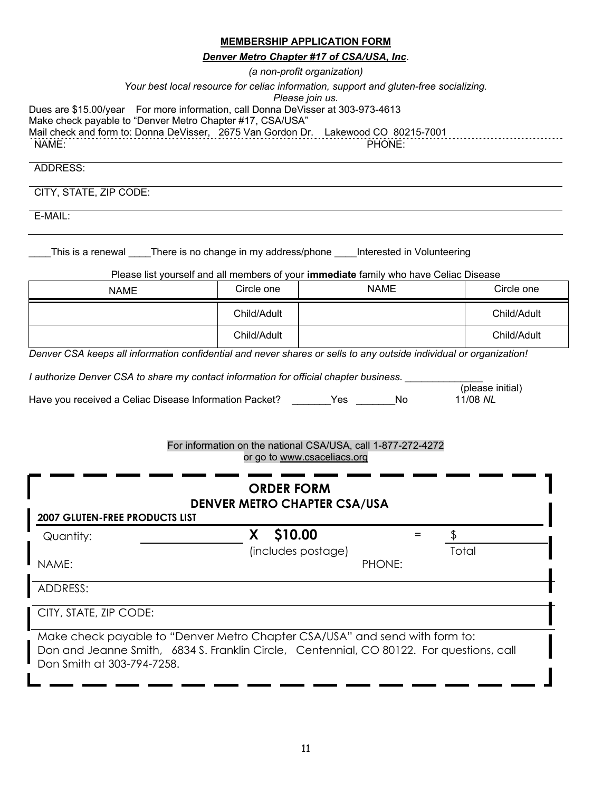# **MEMBERSHIP APPLICATION FORM**

*Denver Metro Chapter #17 of CSA/USA, Inc*.

|                                                                                                                                                                                                                                             |                    | (a non-profit organization)                                                           |                              |
|---------------------------------------------------------------------------------------------------------------------------------------------------------------------------------------------------------------------------------------------|--------------------|---------------------------------------------------------------------------------------|------------------------------|
|                                                                                                                                                                                                                                             |                    | Your best local resource for celiac information, support and gluten-free socializing. |                              |
| Dues are \$15.00/year For more information, call Donna DeVisser at 303-973-4613<br>Make check payable to "Denver Metro Chapter #17, CSA/USA"<br>Mail check and form to: Donna DeVisser, 2675 Van Gordon Dr. Lakewood CO 80215-7001<br>NAME: |                    | Please join us.<br>PHONE:                                                             |                              |
| ADDRESS:                                                                                                                                                                                                                                    |                    |                                                                                       |                              |
| CITY, STATE, ZIP CODE:                                                                                                                                                                                                                      |                    |                                                                                       |                              |
| E-MAIL:                                                                                                                                                                                                                                     |                    |                                                                                       |                              |
| This is a renewal _____There is no change in my address/phone _____Interested in Volunteering                                                                                                                                               |                    | Please list yourself and all members of your immediate family who have Celiac Disease |                              |
| <b>NAME</b>                                                                                                                                                                                                                                 | Circle one         | <b>NAME</b>                                                                           | Circle one                   |
|                                                                                                                                                                                                                                             | Child/Adult        |                                                                                       | Child/Adult                  |
|                                                                                                                                                                                                                                             | Child/Adult        |                                                                                       | Child/Adult                  |
| Denver CSA keeps all information confidential and never shares or sells to any outside individual or organization!                                                                                                                          |                    |                                                                                       |                              |
| I authorize Denver CSA to share my contact information for official chapter business.                                                                                                                                                       |                    |                                                                                       |                              |
| Have you received a Celiac Disease Information Packet? ________Yes _______ No                                                                                                                                                               |                    |                                                                                       | (please initial)<br>11/08 NL |
|                                                                                                                                                                                                                                             |                    |                                                                                       |                              |
|                                                                                                                                                                                                                                             |                    | For information on the national CSA/USA, call 1-877-272-4272                          |                              |
|                                                                                                                                                                                                                                             |                    | or go to www.csaceliacs.org                                                           |                              |
|                                                                                                                                                                                                                                             | <b>ORDER FORM</b>  |                                                                                       |                              |
|                                                                                                                                                                                                                                             |                    | <b>DENVER METRO CHAPTER CSA/USA</b>                                                   |                              |
| <b>2007 GLUTEN-FREE PRODUCTS LIST</b><br>Quantity:                                                                                                                                                                                          | X \$10.00          | $=$                                                                                   | \$                           |
|                                                                                                                                                                                                                                             | (includes postage) |                                                                                       | Total                        |
| NAME:                                                                                                                                                                                                                                       |                    | PHONE:                                                                                |                              |
| ADDRESS:                                                                                                                                                                                                                                    |                    |                                                                                       |                              |
| CITY, STATE, ZIP CODE:                                                                                                                                                                                                                      |                    |                                                                                       |                              |

Make check payable to "Denver Metro Chapter CSA/USA" and send with form to: Don and Jeanne Smith, 6834 S. Franklin Circle, Centennial, CO 80122. For questions, call Don Smith at 303-794-7258.

<u>. .</u>

. ... ... ... .

L

— .

. .

 $\mathbf{r}$ 

 $\mathbf{r}$